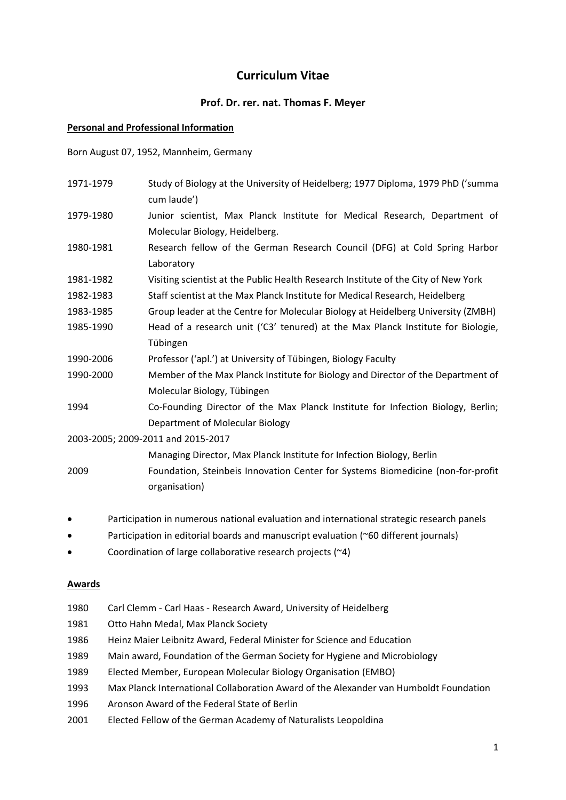# **Curriculum Vitae**

### **Prof. Dr. rer. nat. Thomas F. Meyer**

#### **Personal and Professional Information**

Born August 07, 1952, Mannheim, Germany

| 1971-1979                          | Study of Biology at the University of Heidelberg; 1977 Diploma, 1979 PhD ('summa<br>cum laude') |
|------------------------------------|-------------------------------------------------------------------------------------------------|
| 1979-1980                          | Junior scientist, Max Planck Institute for Medical Research, Department of                      |
|                                    | Molecular Biology, Heidelberg.                                                                  |
| 1980-1981                          | Research fellow of the German Research Council (DFG) at Cold Spring Harbor                      |
|                                    | Laboratory                                                                                      |
| 1981-1982                          | Visiting scientist at the Public Health Research Institute of the City of New York              |
| 1982-1983                          | Staff scientist at the Max Planck Institute for Medical Research, Heidelberg                    |
| 1983-1985                          | Group leader at the Centre for Molecular Biology at Heidelberg University (ZMBH)                |
| 1985-1990                          | Head of a research unit ('C3' tenured) at the Max Planck Institute for Biologie,                |
|                                    | Tübingen                                                                                        |
| 1990-2006                          | Professor ('apl.') at University of Tübingen, Biology Faculty                                   |
| 1990-2000                          | Member of the Max Planck Institute for Biology and Director of the Department of                |
|                                    | Molecular Biology, Tübingen                                                                     |
| 1994                               | Co-Founding Director of the Max Planck Institute for Infection Biology, Berlin;                 |
|                                    | Department of Molecular Biology                                                                 |
| 2003-2005; 2009-2011 and 2015-2017 |                                                                                                 |
|                                    | Managing Director, Max Planck Institute for Infection Biology, Berlin                           |
| 2009                               | Foundation, Steinbeis Innovation Center for Systems Biomedicine (non-for-profit                 |
|                                    | organisation)                                                                                   |
|                                    | Participation in numerous national evaluation and international strategic research panels       |

- Participation in editorial boards and manuscript evaluation (~60 different journals)
- Coordination of large collaborative research projects (~4)

#### **Awards**

- 1980 Carl Clemm Carl Haas Research Award, University of Heidelberg
- 1981 Otto Hahn Medal, Max Planck Society
- 1986 Heinz Maier Leibnitz Award, Federal Minister for Science and Education
- 1989 Main award, Foundation of the German Society for Hygiene and Microbiology
- 1989 Elected Member, European Molecular Biology Organisation (EMBO)
- 1993 Max Planck International Collaboration Award of the Alexander van Humboldt Foundation
- 1996 Aronson Award of the Federal State of Berlin
- 2001 Elected Fellow of the German Academy of Naturalists Leopoldina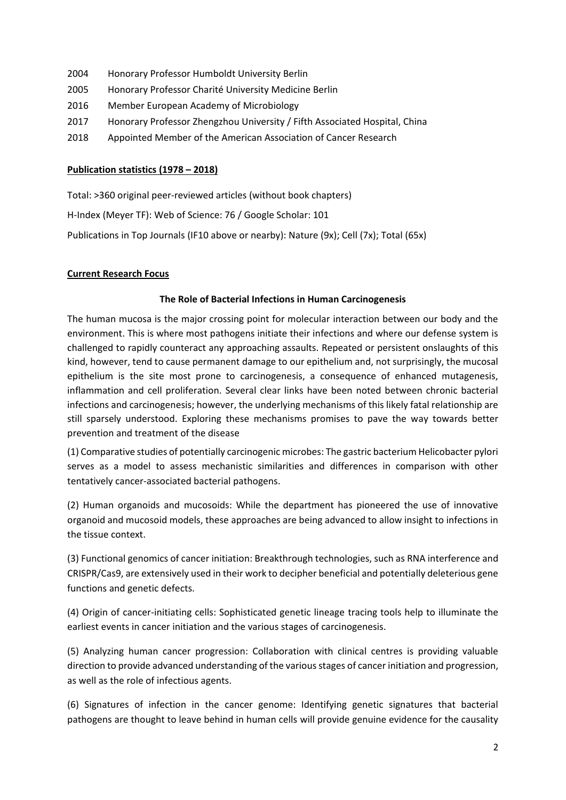- 2004 Honorary Professor Humboldt University Berlin
- 2005 Honorary Professor Charité University Medicine Berlin
- 2016 Member European Academy of Microbiology
- 2017 Honorary Professor Zhengzhou University / Fifth Associated Hospital, China
- 2018 Appointed Member of the American Association of Cancer Research

#### **Publication statistics (1978 – 2018)**

Total: >360 original peer-reviewed articles (without book chapters) H-Index (Meyer TF): Web of Science: 76 / Google Scholar: 101 Publications in Top Journals (IF10 above or nearby): Nature (9x); Cell (7x); Total (65x)

## **Current Research Focus**

#### **The Role of Bacterial Infections in Human Carcinogenesis**

The human mucosa is the major crossing point for molecular interaction between our body and the environment. This is where most pathogens initiate their infections and where our defense system is challenged to rapidly counteract any approaching assaults. Repeated or persistent onslaughts of this kind, however, tend to cause permanent damage to our epithelium and, not surprisingly, the mucosal epithelium is the site most prone to carcinogenesis, a consequence of enhanced mutagenesis, inflammation and cell proliferation. Several clear links have been noted between chronic bacterial infections and carcinogenesis; however, the underlying mechanisms of this likely fatal relationship are still sparsely understood. Exploring these mechanisms promises to pave the way towards better prevention and treatment of the disease

(1) Comparative studies of potentially carcinogenic microbes: The gastric bacterium Helicobacter pylori serves as a model to assess mechanistic similarities and differences in comparison with other tentatively cancer-associated bacterial pathogens.

(2) Human organoids and mucosoids: While the department has pioneered the use of innovative organoid and mucosoid models, these approaches are being advanced to allow insight to infections in the tissue context.

(3) Functional genomics of cancer initiation: Breakthrough technologies, such as RNA interference and CRISPR/Cas9, are extensively used in their work to decipher beneficial and potentially deleterious gene functions and genetic defects.

(4) Origin of cancer-initiating cells: Sophisticated genetic lineage tracing tools help to illuminate the earliest events in cancer initiation and the various stages of carcinogenesis.

(5) Analyzing human cancer progression: Collaboration with clinical centres is providing valuable direction to provide advanced understanding of the various stages of cancer initiation and progression, as well as the role of infectious agents.

(6) Signatures of infection in the cancer genome: Identifying genetic signatures that bacterial pathogens are thought to leave behind in human cells will provide genuine evidence for the causality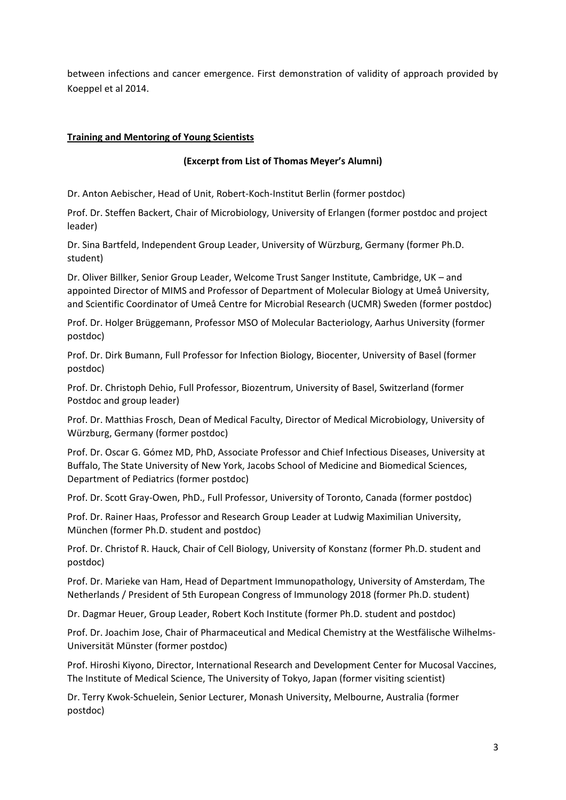between infections and cancer emergence. First demonstration of validity of approach provided by Koeppel et al 2014.

### **Training and Mentoring of Young Scientists**

#### **(Excerpt from List of Thomas Meyer's Alumni)**

Dr. Anton Aebischer, Head of Unit, Robert-Koch-Institut Berlin (former postdoc)

Prof. Dr. Steffen Backert, Chair of Microbiology, University of Erlangen (former postdoc and project leader)

Dr. Sina Bartfeld, Independent Group Leader, University of Würzburg, Germany (former Ph.D. student)

Dr. Oliver Billker, Senior Group Leader, Welcome Trust Sanger Institute, Cambridge, UK – and appointed Director of MIMS and Professor of Department of Molecular Biology at Umeå University, and Scientific Coordinator of Umeå Centre for Microbial Research (UCMR) Sweden (former postdoc)

Prof. Dr. Holger Brüggemann, Professor MSO of Molecular Bacteriology, Aarhus University (former postdoc)

Prof. Dr. Dirk Bumann, Full Professor for Infection Biology, Biocenter, University of Basel (former postdoc)

Prof. Dr. Christoph Dehio, Full Professor, Biozentrum, University of Basel, Switzerland (former Postdoc and group leader)

Prof. Dr. Matthias Frosch, Dean of Medical Faculty, Director of Medical Microbiology, University of Würzburg, Germany (former postdoc)

Prof. Dr. Oscar G. Gómez MD, PhD, Associate Professor and Chief Infectious Diseases, University at Buffalo, The State University of New York, Jacobs School of Medicine and Biomedical Sciences, Department of Pediatrics (former postdoc)

Prof. Dr. Scott Gray-Owen, PhD., Full Professor, University of Toronto, Canada (former postdoc)

Prof. Dr. Rainer Haas, Professor and Research Group Leader at Ludwig Maximilian University, München (former Ph.D. student and postdoc)

Prof. Dr. Christof R. Hauck, Chair of Cell Biology, University of Konstanz (former Ph.D. student and postdoc)

Prof. Dr. Marieke van Ham, Head of Department Immunopathology, University of Amsterdam, The Netherlands / President of 5th European Congress of Immunology 2018 (former Ph.D. student)

Dr. Dagmar Heuer, Group Leader, Robert Koch Institute (former Ph.D. student and postdoc)

Prof. Dr. Joachim Jose, Chair of Pharmaceutical and Medical Chemistry at the Westfälische Wilhelms-Universität Münster (former postdoc)

Prof. Hiroshi Kiyono, Director, International Research and Development Center for Mucosal Vaccines, The Institute of Medical Science, The University of Tokyo, Japan (former visiting scientist)

Dr. Terry Kwok-Schuelein, Senior Lecturer, Monash University, Melbourne, Australia (former postdoc)